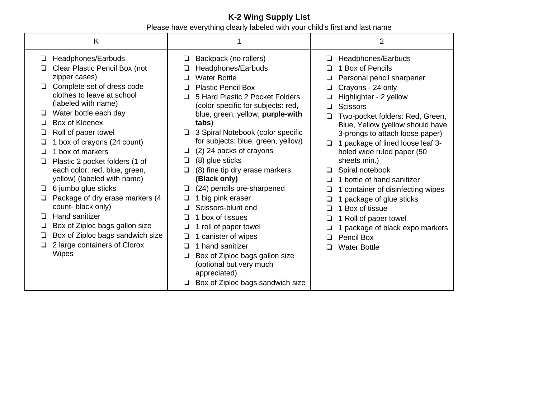## **K-2 Wing Supply List** Please have everything clearly labeled with your child's first and last name

| K                                                                                                                                                                                                                                                                                                                                                                                                                                                                                                                                                                                                                                                               |                                                                                                                                                                                                                                                                                                                                                                                                                                                                                                                                                                                                                                                                                                                                                                      | 2                                                                                                                                                                                                                                                                                                                                                                                                                                                                                                                                                                                                |
|-----------------------------------------------------------------------------------------------------------------------------------------------------------------------------------------------------------------------------------------------------------------------------------------------------------------------------------------------------------------------------------------------------------------------------------------------------------------------------------------------------------------------------------------------------------------------------------------------------------------------------------------------------------------|----------------------------------------------------------------------------------------------------------------------------------------------------------------------------------------------------------------------------------------------------------------------------------------------------------------------------------------------------------------------------------------------------------------------------------------------------------------------------------------------------------------------------------------------------------------------------------------------------------------------------------------------------------------------------------------------------------------------------------------------------------------------|--------------------------------------------------------------------------------------------------------------------------------------------------------------------------------------------------------------------------------------------------------------------------------------------------------------------------------------------------------------------------------------------------------------------------------------------------------------------------------------------------------------------------------------------------------------------------------------------------|
| Headphones/Earbuds<br>⊔<br>Clear Plastic Pencil Box (not<br>zipper cases)<br>Complete set of dress code<br>□<br>clothes to leave at school<br>(labeled with name)<br>Water bottle each day<br>□<br>Box of Kleenex<br>□<br>Roll of paper towel<br>□<br>1 box of crayons (24 count)<br>1 box of markers<br>□<br>Plastic 2 pocket folders (1 of<br>□<br>each color: red, blue, green,<br>yellow) (labeled with name)<br>6 jumbo glue sticks<br>□<br>Package of dry erase markers (4<br>$\Box$<br>count-black only)<br>Hand sanitizer<br>❏<br>Box of Ziploc bags gallon size<br>❏<br>Box of Ziploc bags sandwich size<br>□<br>2 large containers of Clorox<br>Wipes | Backpack (no rollers)<br>❏<br>Headphones/Earbuds<br><b>Water Bottle</b><br>$\perp$<br><b>Plastic Pencil Box</b><br>$\Box$<br>5 Hard Plastic 2 Pocket Folders<br>(color specific for subjects: red,<br>blue, green, yellow, purple-with<br>tabs)<br>3 Spiral Notebook (color specific<br>❏<br>for subjects: blue, green, yellow)<br>(2) 24 packs of crayons<br>□<br>(8) glue sticks<br>❏<br>(8) fine tip dry erase markers<br>❏<br>(Black only)<br>(24) pencils pre-sharpened<br>□<br>1 big pink eraser<br>❏<br>Scissors-blunt end<br>1 box of tissues<br>1 roll of paper towel<br>□<br>1 canister of wipes<br>□<br>1 hand sanitizer<br>$\perp$<br>Box of Ziploc bags gallon size<br>❏<br>(optional but very much<br>appreciated)<br>Box of Ziploc bags sandwich size | Headphones/Earbuds<br>1 Box of Pencils<br>Personal pencil sharpener<br>Crayons - 24 only<br>❏<br>Highlighter - 2 yellow<br>❏<br><b>Scissors</b><br>❏<br>Two-pocket folders: Red, Green,<br>Blue, Yellow (yellow should have<br>3-prongs to attach loose paper)<br>1 package of lined loose leaf 3-<br>□<br>holed wide ruled paper (50<br>sheets min.)<br>Spiral notebook<br>1 bottle of hand sanitizer<br>1 container of disinfecting wipes<br>1 package of glue sticks<br>1 Box of tissue<br>1 Roll of paper towel<br>□<br>1 package of black expo markers<br>Pencil Box<br><b>Water Bottle</b> |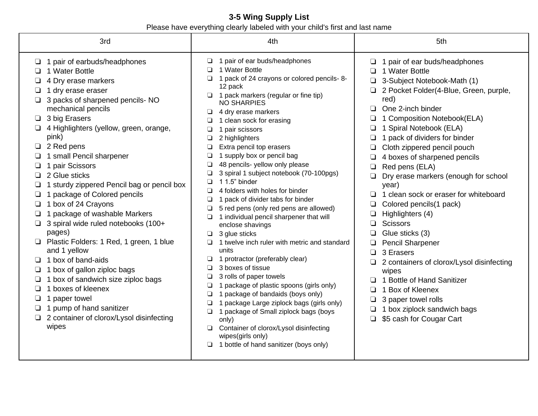## **3-5 Wing Supply List**  Please have everything clearly labeled with your child's first and last name

| 3rd                                                                                                                                                                                                                                                                                                                                                                                                                                                                                                                                                                                                                                                                                                                                                                                                                                 | 4th                                                                                                                                                                                                                                                                                                                                                                                                                                                                                                                                                                                                                                                                                                                                                                                                                                                                                                                                                                                                                                                                                                                                                              | 5th                                                                                                                                                                                                                                                                                                                                                                                                                                                                                                                                                                                                                                                                                                                                                                         |
|-------------------------------------------------------------------------------------------------------------------------------------------------------------------------------------------------------------------------------------------------------------------------------------------------------------------------------------------------------------------------------------------------------------------------------------------------------------------------------------------------------------------------------------------------------------------------------------------------------------------------------------------------------------------------------------------------------------------------------------------------------------------------------------------------------------------------------------|------------------------------------------------------------------------------------------------------------------------------------------------------------------------------------------------------------------------------------------------------------------------------------------------------------------------------------------------------------------------------------------------------------------------------------------------------------------------------------------------------------------------------------------------------------------------------------------------------------------------------------------------------------------------------------------------------------------------------------------------------------------------------------------------------------------------------------------------------------------------------------------------------------------------------------------------------------------------------------------------------------------------------------------------------------------------------------------------------------------------------------------------------------------|-----------------------------------------------------------------------------------------------------------------------------------------------------------------------------------------------------------------------------------------------------------------------------------------------------------------------------------------------------------------------------------------------------------------------------------------------------------------------------------------------------------------------------------------------------------------------------------------------------------------------------------------------------------------------------------------------------------------------------------------------------------------------------|
| $\Box$ 1 pair of earbuds/headphones<br>1 Water Bottle<br>4 Dry erase markers<br>1 dry erase eraser<br>3 packs of sharpened pencils- NO<br>mechanical pencils<br>$\Box$ 3 big Erasers<br>4 Highlighters (yellow, green, orange,<br>pink)<br>$\Box$ 2 Red pens<br>1 small Pencil sharpener<br>1 pair Scissors<br>$\Box$ 2 Glue sticks<br>1 sturdy zippered Pencil bag or pencil box<br>1 package of Colored pencils<br>1 box of 24 Crayons<br>1 package of washable Markers<br>3 spiral wide ruled notebooks (100+<br>pages)<br>Plastic Folders: 1 Red, 1 green, 1 blue<br>and 1 yellow<br>1 box of band-aids<br>$\Box$<br>1 box of gallon ziploc bags<br>1 box of sandwich size ziploc bags<br>1 boxes of kleenex<br>□<br>1 paper towel<br>1 pump of hand sanitizer<br>$\Box$<br>□ 2 container of clorox/Lysol disinfecting<br>wipes | $\Box$ 1 pair of ear buds/headphones<br>1 Water Bottle<br>1 pack of 24 crayons or colored pencils-8-<br>12 pack<br>$\Box$ 1 pack markers (regular or fine tip)<br><b>NO SHARPIES</b><br>4 dry erase markers<br>❏<br>1 clean sock for erasing<br>1 pair scissors<br>2 highlighters<br>Extra pencil top erasers<br>1 supply box or pencil bag<br>48 pencils- yellow only please<br>❏<br>3 spiral 1 subject notebook (70-100pgs)<br>1 1.5" binder<br>4 folders with holes for binder<br>$\Box$<br>1 pack of divider tabs for binder<br>◘<br>5 red pens (only red pens are allowed)<br>1 individual pencil sharpener that will<br>enclose shavings<br>3 glue sticks<br>$\Box$<br>1 twelve inch ruler with metric and standard<br>units<br>1 protractor (preferably clear)<br>□<br>3 boxes of tissue<br>□<br>3 rolls of paper towels<br>◘<br>1 package of plastic spoons (girls only)<br>□<br>1 package of bandaids (boys only)<br>❏<br>1 package Large ziplock bags (girls only)<br>$\Box$<br>1 package of Small ziplock bags (boys<br>$\Box$<br>only)<br>Container of clorox/Lysol disinfecting<br>◘<br>wipes(girls only)<br>1 bottle of hand sanitizer (boys only) | 1 pair of ear buds/headphones<br>1 Water Bottle<br>3-Subject Notebook-Math (1)<br>2 Pocket Folder(4-Blue, Green, purple,<br>red)<br>One 2-inch binder<br>1 Composition Notebook(ELA)<br>1 Spiral Notebook (ELA)<br>1 pack of dividers for binder<br>Cloth zippered pencil pouch<br>4 boxes of sharpened pencils<br>Red pens (ELA)<br>Dry erase markers (enough for school<br>year)<br>1 clean sock or eraser for whiteboard<br>Colored pencils(1 pack)<br>Highlighters (4)<br>❏<br><b>Scissors</b><br>□<br>Glue sticks (3)<br><b>Pencil Sharpener</b><br>3 Erasers<br>□<br>2 containers of clorox/Lysol disinfecting<br>wipes<br>1 Bottle of Hand Sanitizer<br>1 Box of Kleenex<br>3 paper towel rolls<br>❏<br>1 box ziplock sandwich bags<br>\$5 cash for Cougar Cart<br>❏ |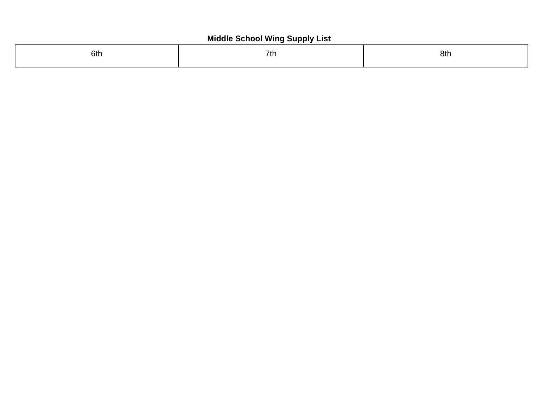## **Middle School Wing Supply List**

| 6th | 7th | 8th |
|-----|-----|-----|
|     |     |     |